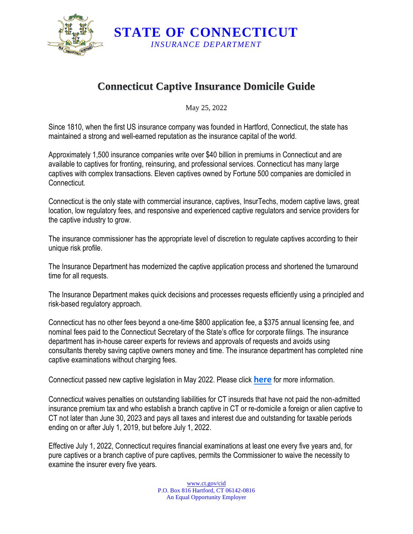

**Connecticut Captive Insurance Domicile Guide** 

**STATE OF CONNECTICUT**  *INSURANCE DEPARTMENT* 

May 25, 2022

Since 1810, when the first US insurance company was founded in Hartford, Connecticut, the state has maintained a strong and well-earned reputation as the insurance capital of the world.

 captives with complex transactions. Eleven captives owned by Fortune 500 companies are domiciled in Approximately 1,500 insurance companies write over \$40 billion in premiums in Connecticut and are available to captives for fronting, reinsuring, and professional services. Connecticut has many large **Connecticut.** 

Connecticut is the only state with commercial insurance, captives, InsurTechs, modern captive laws, great location, low regulatory fees, and responsive and experienced captive regulators and service providers for the captive industry to grow.

The insurance commissioner has the appropriate level of discretion to regulate captives according to their unique risk profile.

The Insurance Department has modernized the captive application process and shortened the turnaround time for all requests.

The Insurance Department makes quick decisions and processes requests efficiently using a principled and risk-based regulatory approach.

 Connecticut has no other fees beyond a one-time \$800 application fee, a \$375 annual licensing fee, and consultants thereby saving captive owners money and time. The insurance department has completed nine nominal fees paid to the Connecticut Secretary of the State's office for corporate filings. The insurance department has in-house career experts for reviews and approvals of requests and avoids using captive examinations without charging fees.

Connecticut passed new captive legislation in May 2022. Please click **[here](https://portal.ct.gov/-/media/CID/1_Captives/Connecticut-Captive-Insurance-Legislative-Changes-2022.pdf)** for more information.

 insurance premium tax and who establish a branch captive in CT or re-domicile a foreign or alien captive to CT not later than June 30, 2023 and pays all taxes and interest due and outstanding for taxable periods Connecticut waives penalties on outstanding liabilities for CT insureds that have not paid the non-admitted ending on or after July 1, 2019, but before July 1, 2022.

Effective July 1, 2022, Connecticut requires financial examinations at least one every five years and, for pure captives or a branch captive of pure captives, permits the Commissioner to waive the necessity to examine the insurer every five years.

> P.O. Box 816 Hartford, CT 06142-0816 <www.ct.gov/cid> An Equal Opportunity Employer